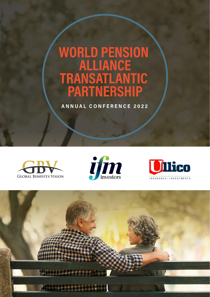## **WORLD PENSION<br>ALLIANCE<br>TRANSATLANTIC<br>PARTNERSHIP**

ANNUAL CONFERENCE 2022







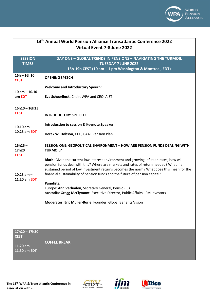

| 13 <sup>th</sup> Annual World Pension Alliance Transatlantic Conference 2022<br>Virtual Event 7-8 June 2022 |                                                                                                                                                                                                                                                                                                                                                              |  |
|-------------------------------------------------------------------------------------------------------------|--------------------------------------------------------------------------------------------------------------------------------------------------------------------------------------------------------------------------------------------------------------------------------------------------------------------------------------------------------------|--|
| <b>SESSION</b><br><b>TIMES</b>                                                                              | <b>DAY ONE - GLOBAL TRENDS IN PENSIONS - NAVIGATING THE TURMOIL</b><br><b>TUESDAY 7 JUNE 2022</b><br>16h-19h CEST (10 am - 1 pm Washington & Montreal, EDT)                                                                                                                                                                                                  |  |
| $16h - 16h10$<br><b>CEST</b>                                                                                | <b>OPENING SPEECH</b>                                                                                                                                                                                                                                                                                                                                        |  |
| $10 am - 10.10$                                                                                             | <b>Welcome and Introductory Speech:</b>                                                                                                                                                                                                                                                                                                                      |  |
| am EDT                                                                                                      | Eva Scheerlinck, Chair, WPA and CEO, AIST                                                                                                                                                                                                                                                                                                                    |  |
| $16h10 - 16h25$<br><b>CEST</b>                                                                              | <b>INTRODUCTORY SPEECH 1</b>                                                                                                                                                                                                                                                                                                                                 |  |
| 10.10 $am -$<br>10.25 am EDT                                                                                | Introduction to session & Keynote Speaker:                                                                                                                                                                                                                                                                                                                   |  |
|                                                                                                             | Derek W. Dobson, CEO, CAAT Pension Plan                                                                                                                                                                                                                                                                                                                      |  |
| $16h25 -$<br>17h20<br><b>CEST</b>                                                                           | <b>SESSION ONE: GEOPOLITICAL ENVIRONMENT - HOW ARE PENSION FUNDS DEALING WITH</b><br><b>TURMOIL?</b>                                                                                                                                                                                                                                                         |  |
| 10.25 $am -$<br>11.20 am EDT                                                                                | Blurb: Given the current low interest environment and growing inflation rates, how will<br>pension funds deal with this? Where are markets and rates of return headed? What if a<br>sustained period of low investment returns becomes the norm? What does this mean for the<br>financial sustainability of pension funds and the future of pension capital? |  |
|                                                                                                             | <b>Panelists:</b><br>Europe: Ann Verlinden, Secretary General, PensioPlus                                                                                                                                                                                                                                                                                    |  |
|                                                                                                             | Australia: Gregg McClymont, Executive Director, Public Affairs, IFM Investors                                                                                                                                                                                                                                                                                |  |
|                                                                                                             | Moderator: Eric Müller-Borle, Founder, Global Benefits Vision                                                                                                                                                                                                                                                                                                |  |
|                                                                                                             |                                                                                                                                                                                                                                                                                                                                                              |  |
|                                                                                                             |                                                                                                                                                                                                                                                                                                                                                              |  |
| 17h20-17h30<br><b>CEST</b>                                                                                  |                                                                                                                                                                                                                                                                                                                                                              |  |
| 11.20 $am -$<br>11.30 am EDT                                                                                | <b>COFFEE BREAK</b>                                                                                                                                                                                                                                                                                                                                          |  |





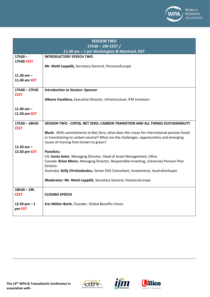

| <b>SESSION TWO</b>             |                                                                                                                                                                                                                              |  |
|--------------------------------|------------------------------------------------------------------------------------------------------------------------------------------------------------------------------------------------------------------------------|--|
| 17h30 - 19h CEST /             |                                                                                                                                                                                                                              |  |
|                                | 11:30 am - 1 pm Washington & Montreal, EDT                                                                                                                                                                                   |  |
| $17h30 -$<br><b>17h40 CEST</b> | <b>INTRODUCTORY SPEECH TWO</b>                                                                                                                                                                                               |  |
|                                | Mr. Matti Leppälä, Secretary General, PensionsEurope                                                                                                                                                                         |  |
| 11.30 $am -$<br>11.40 am EDT   |                                                                                                                                                                                                                              |  |
| $17h40 - 17h50$<br><b>CEST</b> | <b>Introduction to Session: Sponsor</b>                                                                                                                                                                                      |  |
|                                | Albena Vassileva, Executive Director, Infrastructure, IFM Investors                                                                                                                                                          |  |
| 11.40 $am -$                   |                                                                                                                                                                                                                              |  |
| 11.50 am EDT                   |                                                                                                                                                                                                                              |  |
| $17h50 - 18h50$<br><b>CEST</b> | SESSION TWO - COP26, NET ZERO, CARBON TRANSITION AND ALL THINGS SUSTAINABILITY                                                                                                                                               |  |
|                                | Blurb: With commitments to Net Zero, what does this mean for international pension funds<br>in transitioning to carbon neutral? What are the challenges, opportunities and emerging<br>issues of moving from brown to green? |  |
| 11.50 $am -$                   |                                                                                                                                                                                                                              |  |
| 12.50 pm EDT                   | <b>Panelists:</b><br>US: Sonia Axter, Managing Director, Head of Asset Management, Ullico                                                                                                                                    |  |
|                                | Canada: Brian Minns, Managing Director, Responsible Investing, University Pension Plan<br>Ontario                                                                                                                            |  |
|                                | Australia: Kelly Christodoulou, Senior ESG Consultant, Investments, AustralianSuper                                                                                                                                          |  |
|                                | Moderator: Mr. Matti Leppälä, Secretary General, PensionsEurope                                                                                                                                                              |  |
| $18h50 - 19h$<br><b>CEST</b>   | <b>CLOSING SPEECH</b>                                                                                                                                                                                                        |  |
| 12.50 pm $-1$<br>pm EDT        | Eric Müller-Borle, Founder, Global Benefits Vision                                                                                                                                                                           |  |





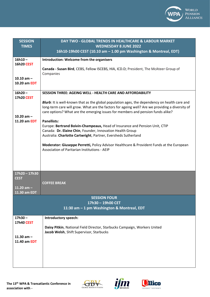

| <b>SESSION</b>                 | DAY TWO - GLOBAL TRENDS IN HEALTHCARE & LABOUR MARKET                                                                                                                                                                                                                                       |
|--------------------------------|---------------------------------------------------------------------------------------------------------------------------------------------------------------------------------------------------------------------------------------------------------------------------------------------|
| <b>TIMES</b>                   | <b>WEDNESDAY 8 JUNE 2022</b>                                                                                                                                                                                                                                                                |
|                                | 16h10-19h00 CEST (10.10 am - 1.00 pm Washington & Montreal, EDT)                                                                                                                                                                                                                            |
| $16h10 -$<br><b>16h20 CEST</b> | Introduction: Welcome from the organisers                                                                                                                                                                                                                                                   |
|                                | Canada - Susan Bird, CEBS, Fellow ISCEBS, HIA, ICD.D; President, The McAteer Group of<br>Companies                                                                                                                                                                                          |
| 10.10 $am -$<br>10.20 am EDT   |                                                                                                                                                                                                                                                                                             |
| $16h20 -$<br><b>17h20 CEST</b> | <b>SESSION THREE: AGEING WELL - HEALTH CARE AND AFFORDABILITY</b>                                                                                                                                                                                                                           |
|                                | <b>Blurb</b> : It is well-known that as the global population ages, the dependency on health care and<br>long-term care will grow. What are the factors for ageing well? Are we providing a diversity of<br>care options? What are the emerging issues for members and pension funds alike? |
| 10.20 $am -$<br>11.20 am EDT   | <b>Panellists:</b>                                                                                                                                                                                                                                                                          |
|                                | Europe: Bertrand Boivin-Champeaux, Head of Insurance and Pension Unit, CTIP<br>Canada: Dr. Elaine Chin, Founder, Innovation Health Group                                                                                                                                                    |
|                                | Australia: Charlotte Cartwright, Partner, Eversheds Sutherland                                                                                                                                                                                                                              |
|                                | Moderator: Giuseppe Perretti, Policy Advisor Healthcare & Provident Funds at the European<br>Association of Paritarian Institutions - AEIP                                                                                                                                                  |
|                                |                                                                                                                                                                                                                                                                                             |
| $17h20 - 17h30$<br><b>CEST</b> |                                                                                                                                                                                                                                                                                             |
|                                | <b>COFFEE BREAK</b>                                                                                                                                                                                                                                                                         |
| 11.20 $am -$<br>11.30 am EDT   |                                                                                                                                                                                                                                                                                             |
|                                | <b>SESSION FOUR</b>                                                                                                                                                                                                                                                                         |
|                                | 17h30 - 19h00 CET                                                                                                                                                                                                                                                                           |
|                                | 11:30 am - 1 pm Washington & Montreal, EDT                                                                                                                                                                                                                                                  |
| $17h30 -$<br><b>17h40 CEST</b> | Introductory speech:                                                                                                                                                                                                                                                                        |
|                                | Daisy Pitkin, National Field Director, Starbucks Campaign, Workers United<br>Jacob Welsh, Shift Supervisor, Starbucks                                                                                                                                                                       |
| 11.30 $am -$<br>11.40 am EDT   |                                                                                                                                                                                                                                                                                             |
|                                |                                                                                                                                                                                                                                                                                             |
|                                |                                                                                                                                                                                                                                                                                             |
|                                |                                                                                                                                                                                                                                                                                             |